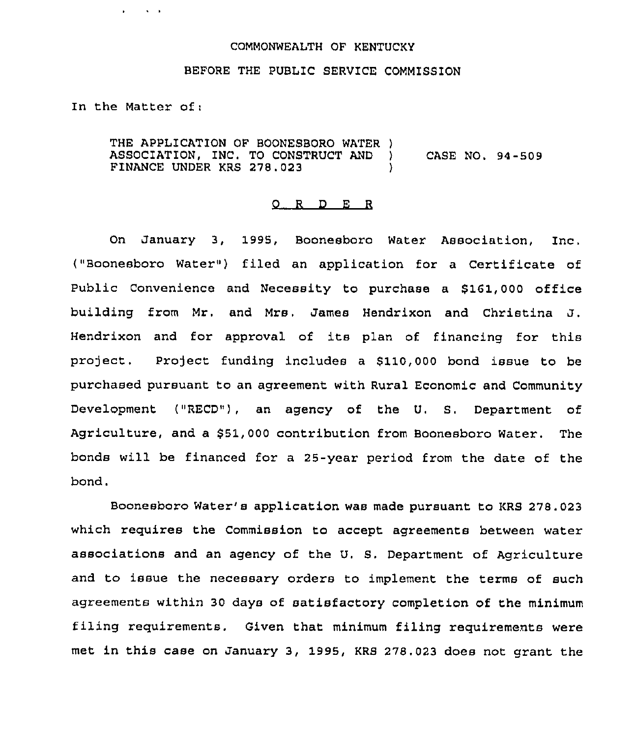## COMMONWEALTH OF KENTUCKY

## BEFORE THE PUBLIC SERVICE COMMISSION

In the Matter of:

 $\sim 100$  km s  $^{-1}$ 

 $\sim$ 

THE APPLICATION OF BOONESBORO WATER )<br>ASSOCIATION. INC. TO CONSTRUCT AND ) ASSOCIATION, INC. TO CONSTRUCT AND <br>FINANCE UNDER KRS 278.023 FINANCE UNDER KRS 278.023

## 0 R <sup>D</sup> E R

On January 3, 1995, Boonesboro Water Association, Inc. ("Boonesboro Water") filed an application for a Certificate of Public Convenience and Necessity to purchase a \$161,000 office building from Mr, and Mrs, James Hendrixon and Christina J. Hendrixon and for approval of its plan of financing for this project. Project funding includes a \$110,000 bond issue to be purchased pursuant to an agreement with Rural Economic and Community Development ("RECD"), an agency of the U. S. Department of Agriculture, and a \$51,000 contribution from Boonesboro Water. The bonds will be financed for a 25-year period from the date of the bond.

Boonesboro water's application was made pursuant to KRS 278.023 which requires the Commission to accept agreements between water associations and an agency of the U. S. Department of Agriculture and to issue the necessary orders to implement the terms of such agreements within 30 days of satisfactory completion of the minimum filing requirements. Given that minimum filing requirements were met in this case on January 3, 1995, KRS 278.023 does not grant the